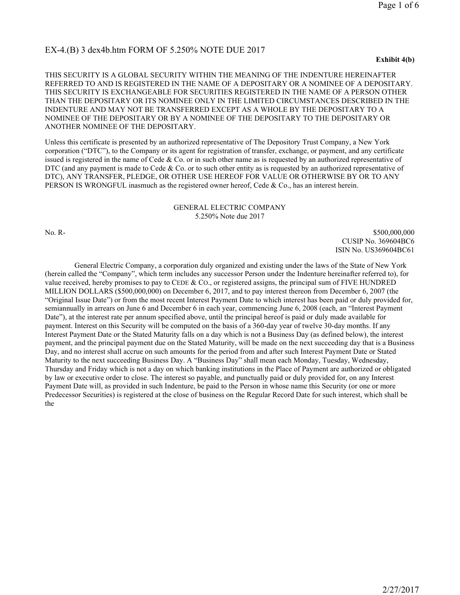# EX-4.(B) 3 dex4b.htm FORM OF 5.250% NOTE DUE 2017

#### **Exhibit 4(b)**

THIS SECURITY IS A GLOBAL SECURITY WITHIN THE MEANING OF THE INDENTURE HEREINAFTER REFERRED TO AND IS REGISTERED IN THE NAME OF A DEPOSITARY OR A NOMINEE OF A DEPOSITARY. THIS SECURITY IS EXCHANGEABLE FOR SECURITIES REGISTERED IN THE NAME OF A PERSON OTHER THAN THE DEPOSITARY OR ITS NOMINEE ONLY IN THE LIMITED CIRCUMSTANCES DESCRIBED IN THE INDENTURE AND MAY NOT BE TRANSFERRED EXCEPT AS A WHOLE BY THE DEPOSITARY TO A NOMINEE OF THE DEPOSITARY OR BY A NOMINEE OF THE DEPOSITARY TO THE DEPOSITARY OR ANOTHER NOMINEE OF THE DEPOSITARY.

Unless this certificate is presented by an authorized representative of The Depository Trust Company, a New York corporation ("DTC"), to the Company or its agent for registration of transfer, exchange, or payment, and any certificate issued is registered in the name of Cede & Co. or in such other name as is requested by an authorized representative of DTC (and any payment is made to Cede  $\&$  Co. or to such other entity as is requested by an authorized representative of DTC), ANY TRANSFER, PLEDGE, OR OTHER USE HEREOF FOR VALUE OR OTHERWISE BY OR TO ANY PERSON IS WRONGFUL inasmuch as the registered owner hereof, Cede & Co., has an interest herein.

### GENERAL ELECTRIC COMPANY 5.250% Note due 2017

No. R- \$500,000,000 \$500,000,000 \$500,000 \$500,000 \$500,000 \$500,000 \$500,000 \$500,000 \$500,000 \$500,000 \$500, CUSIP No. 369604BC6 ISIN No. US369604BC61

General Electric Company, a corporation duly organized and existing under the laws of the State of New York (herein called the "Company", which term includes any successor Person under the Indenture hereinafter referred to), for value received, hereby promises to pay to CEDE & CO., or registered assigns, the principal sum of FIVE HUNDRED MILLION DOLLARS (\$500,000,000) on December 6, 2017, and to pay interest thereon from December 6, 2007 (the "Original Issue Date") or from the most recent Interest Payment Date to which interest has been paid or duly provided for, semiannually in arrears on June 6 and December 6 in each year, commencing June 6, 2008 (each, an "Interest Payment Date"), at the interest rate per annum specified above, until the principal hereof is paid or duly made available for payment. Interest on this Security will be computed on the basis of a 360-day year of twelve 30-day months. If any Interest Payment Date or the Stated Maturity falls on a day which is not a Business Day (as defined below), the interest payment, and the principal payment due on the Stated Maturity, will be made on the next succeeding day that is a Business Day, and no interest shall accrue on such amounts for the period from and after such Interest Payment Date or Stated Maturity to the next succeeding Business Day. A "Business Day" shall mean each Monday, Tuesday, Wednesday, Thursday and Friday which is not a day on which banking institutions in the Place of Payment are authorized or obligated by law or executive order to close. The interest so payable, and punctually paid or duly provided for, on any Interest Payment Date will, as provided in such Indenture, be paid to the Person in whose name this Security (or one or more Predecessor Securities) is registered at the close of business on the Regular Record Date for such interest, which shall be the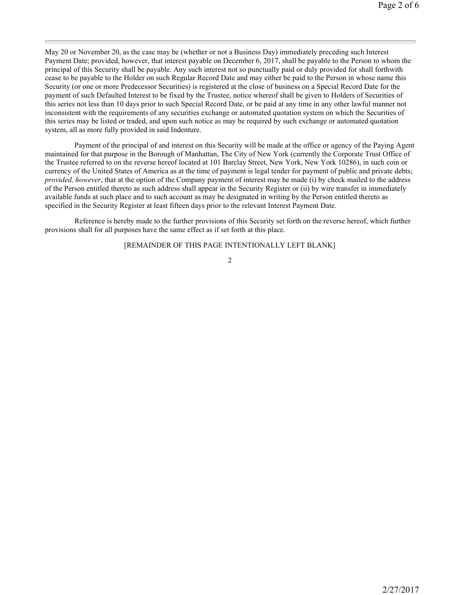May 20 or November 20, as the case may be (whether or not a Business Day) immediately preceding such Interest Payment Date; provided, however, that interest payable on December 6, 2017, shall be payable to the Person to whom the principal of this Security shall be payable. Any such interest not so punctually paid or duly provided for shall forthwith cease to be payable to the Holder on such Regular Record Date and may either be paid to the Person in whose name this Security (or one or more Predecessor Securities) is registered at the close of business on a Special Record Date for the payment of such Defaulted Interest to be fixed by the Trustee, notice whereof shall be given to Holders of Securities of this series not less than 10 days prior to such Special Record Date, or be paid at any time in any other lawful manner not inconsistent with the requirements of any securities exchange or automated quotation system on which the Securities of this series may be listed or traded, and upon such notice as may be required by such exchange or automated quotation system, all as more fully provided in said Indenture.

Payment of the principal of and interest on this Security will be made at the office or agency of the Paying Agent maintained for that purpose in the Borough of Manhattan, The City of New York (currently the Corporate Trust Office of the Trustee referred to on the reverse hereof located at 101 Barclay Street, New York, New York 10286), in such coin or currency of the United States of America as at the time of payment is legal tender for payment of public and private debts; *provided, however*, that at the option of the Company payment of interest may be made (i) by check mailed to the address of the Person entitled thereto as such address shall appear in the Security Register or (ii) by wire transfer in immediately available funds at such place and to such account as may be designated in writing by the Person entitled thereto as specified in the Security Register at least fifteen days prior to the relevant Interest Payment Date.

Reference is hereby made to the further provisions of this Security set forth on the reverse hereof, which further provisions shall for all purposes have the same effect as if set forth at this place.

### [REMAINDER OF THIS PAGE INTENTIONALLY LEFT BLANK]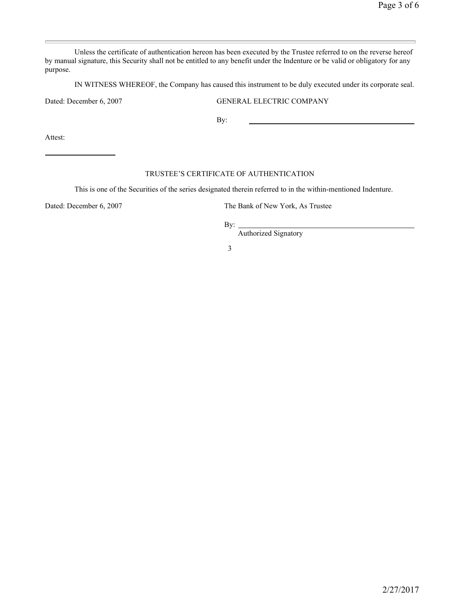Unless the certificate of authentication hereon has been executed by the Trustee referred to on the reverse hereof by manual signature, this Security shall not be entitled to any benefit under the Indenture or be valid or obligatory for any purpose.

IN WITNESS WHEREOF, the Company has caused this instrument to be duly executed under its corporate seal.

Dated: December 6, 2007 GENERAL ELECTRIC COMPANY

By:

Attest:

## TRUSTEE'S CERTIFICATE OF AUTHENTICATION

This is one of the Securities of the series designated therein referred to in the within-mentioned Indenture.

Dated: December 6, 2007 The Bank of New York, As Trustee

By:

Authorized Signatory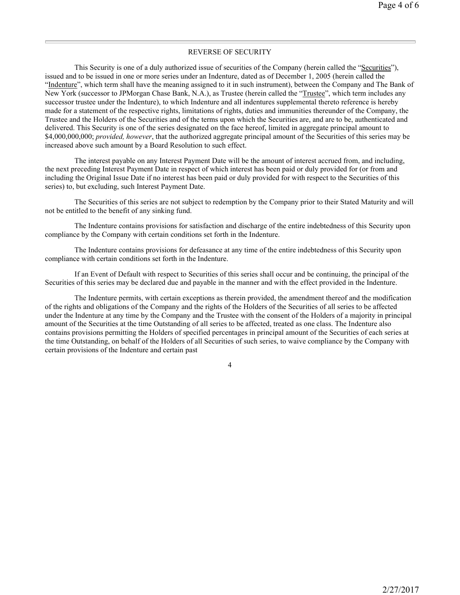### REVERSE OF SECURITY

This Security is one of a duly authorized issue of securities of the Company (herein called the "Securities"), issued and to be issued in one or more series under an Indenture, dated as of December 1, 2005 (herein called the "Indenture", which term shall have the meaning assigned to it in such instrument), between the Company and The Bank of New York (successor to JPMorgan Chase Bank, N.A.), as Trustee (herein called the "Trustee", which term includes any successor trustee under the Indenture), to which Indenture and all indentures supplemental thereto reference is hereby made for a statement of the respective rights, limitations of rights, duties and immunities thereunder of the Company, the Trustee and the Holders of the Securities and of the terms upon which the Securities are, and are to be, authenticated and delivered. This Security is one of the series designated on the face hereof, limited in aggregate principal amount to \$4,000,000,000; *provided, however*, that the authorized aggregate principal amount of the Securities of this series may be increased above such amount by a Board Resolution to such effect.

The interest payable on any Interest Payment Date will be the amount of interest accrued from, and including, the next preceding Interest Payment Date in respect of which interest has been paid or duly provided for (or from and including the Original Issue Date if no interest has been paid or duly provided for with respect to the Securities of this series) to, but excluding, such Interest Payment Date.

The Securities of this series are not subject to redemption by the Company prior to their Stated Maturity and will not be entitled to the benefit of any sinking fund.

The Indenture contains provisions for satisfaction and discharge of the entire indebtedness of this Security upon compliance by the Company with certain conditions set forth in the Indenture.

The Indenture contains provisions for defeasance at any time of the entire indebtedness of this Security upon compliance with certain conditions set forth in the Indenture.

If an Event of Default with respect to Securities of this series shall occur and be continuing, the principal of the Securities of this series may be declared due and payable in the manner and with the effect provided in the Indenture.

The Indenture permits, with certain exceptions as therein provided, the amendment thereof and the modification of the rights and obligations of the Company and the rights of the Holders of the Securities of all series to be affected under the Indenture at any time by the Company and the Trustee with the consent of the Holders of a majority in principal amount of the Securities at the time Outstanding of all series to be affected, treated as one class. The Indenture also contains provisions permitting the Holders of specified percentages in principal amount of the Securities of each series at the time Outstanding, on behalf of the Holders of all Securities of such series, to waive compliance by the Company with certain provisions of the Indenture and certain past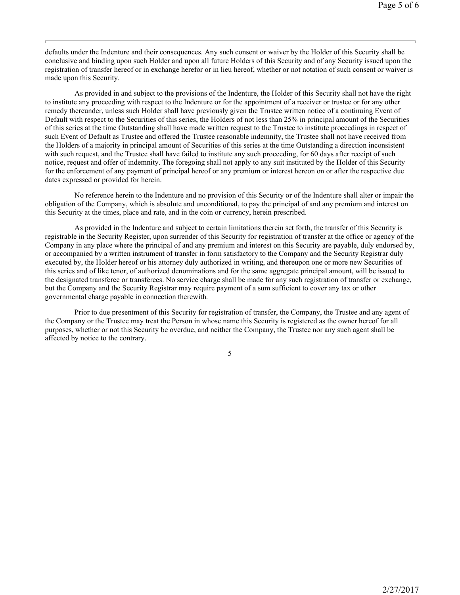defaults under the Indenture and their consequences. Any such consent or waiver by the Holder of this Security shall be conclusive and binding upon such Holder and upon all future Holders of this Security and of any Security issued upon the registration of transfer hereof or in exchange herefor or in lieu hereof, whether or not notation of such consent or waiver is made upon this Security.

As provided in and subject to the provisions of the Indenture, the Holder of this Security shall not have the right to institute any proceeding with respect to the Indenture or for the appointment of a receiver or trustee or for any other remedy thereunder, unless such Holder shall have previously given the Trustee written notice of a continuing Event of Default with respect to the Securities of this series, the Holders of not less than 25% in principal amount of the Securities of this series at the time Outstanding shall have made written request to the Trustee to institute proceedings in respect of such Event of Default as Trustee and offered the Trustee reasonable indemnity, the Trustee shall not have received from the Holders of a majority in principal amount of Securities of this series at the time Outstanding a direction inconsistent with such request, and the Trustee shall have failed to institute any such proceeding, for 60 days after receipt of such notice, request and offer of indemnity. The foregoing shall not apply to any suit instituted by the Holder of this Security for the enforcement of any payment of principal hereof or any premium or interest hereon on or after the respective due dates expressed or provided for herein.

No reference herein to the Indenture and no provision of this Security or of the Indenture shall alter or impair the obligation of the Company, which is absolute and unconditional, to pay the principal of and any premium and interest on this Security at the times, place and rate, and in the coin or currency, herein prescribed.

As provided in the Indenture and subject to certain limitations therein set forth, the transfer of this Security is registrable in the Security Register, upon surrender of this Security for registration of transfer at the office or agency of the Company in any place where the principal of and any premium and interest on this Security are payable, duly endorsed by, or accompanied by a written instrument of transfer in form satisfactory to the Company and the Security Registrar duly executed by, the Holder hereof or his attorney duly authorized in writing, and thereupon one or more new Securities of this series and of like tenor, of authorized denominations and for the same aggregate principal amount, will be issued to the designated transferee or transferees. No service charge shall be made for any such registration of transfer or exchange, but the Company and the Security Registrar may require payment of a sum sufficient to cover any tax or other governmental charge payable in connection therewith.

Prior to due presentment of this Security for registration of transfer, the Company, the Trustee and any agent of the Company or the Trustee may treat the Person in whose name this Security is registered as the owner hereof for all purposes, whether or not this Security be overdue, and neither the Company, the Trustee nor any such agent shall be affected by notice to the contrary.